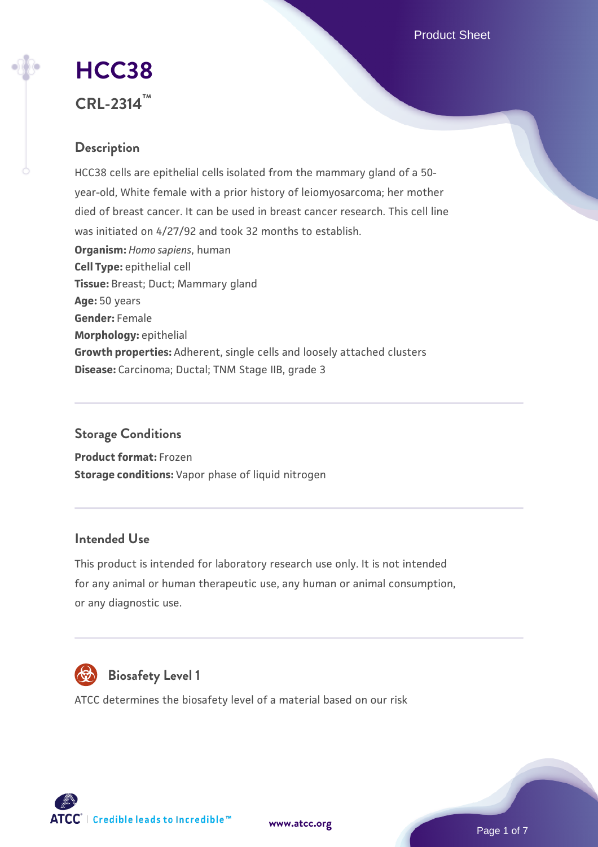Product Sheet

# **[HCC38](https://www.atcc.org/products/crl-2314)**

**CRL-2314™**

## **Description**

HCC38 cells are epithelial cells isolated from the mammary gland of a 50 year-old, White female with a prior history of leiomyosarcoma; her mother died of breast cancer. It can be used in breast cancer research. This cell line was initiated on 4/27/92 and took 32 months to establish. **Organism:** *Homo sapiens*, human **Cell Type:** epithelial cell **Tissue:** Breast; Duct; Mammary gland **Age:** 50 years **Gender:** Female **Morphology:** epithelial **Growth properties:** Adherent, single cells and loosely attached clusters **Disease:** Carcinoma; Ductal; TNM Stage IIB, grade 3

## **Storage Conditions**

**Product format:** Frozen **Storage conditions:** Vapor phase of liquid nitrogen

## **Intended Use**

This product is intended for laboratory research use only. It is not intended for any animal or human therapeutic use, any human or animal consumption, or any diagnostic use.



## **Biosafety Level 1**

ATCC determines the biosafety level of a material based on our risk



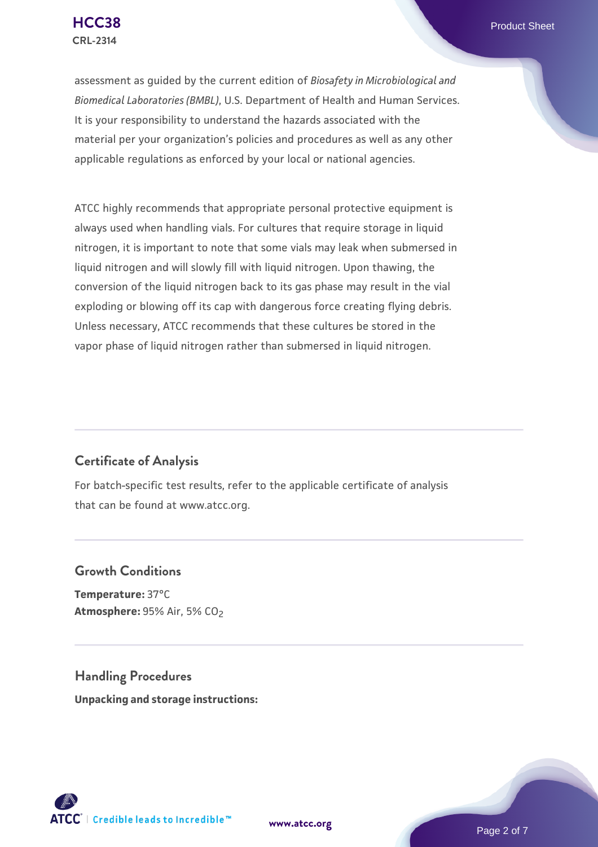assessment as guided by the current edition of *Biosafety in Microbiological and Biomedical Laboratories (BMBL)*, U.S. Department of Health and Human Services. It is your responsibility to understand the hazards associated with the material per your organization's policies and procedures as well as any other applicable regulations as enforced by your local or national agencies.

ATCC highly recommends that appropriate personal protective equipment is always used when handling vials. For cultures that require storage in liquid nitrogen, it is important to note that some vials may leak when submersed in liquid nitrogen and will slowly fill with liquid nitrogen. Upon thawing, the conversion of the liquid nitrogen back to its gas phase may result in the vial exploding or blowing off its cap with dangerous force creating flying debris. Unless necessary, ATCC recommends that these cultures be stored in the vapor phase of liquid nitrogen rather than submersed in liquid nitrogen.

## **Certificate of Analysis**

For batch-specific test results, refer to the applicable certificate of analysis that can be found at www.atcc.org.

## **Growth Conditions**

**Temperature:** 37°C **Atmosphere: 95% Air, 5% CO<sub>2</sub>** 

**Handling Procedures Unpacking and storage instructions:**

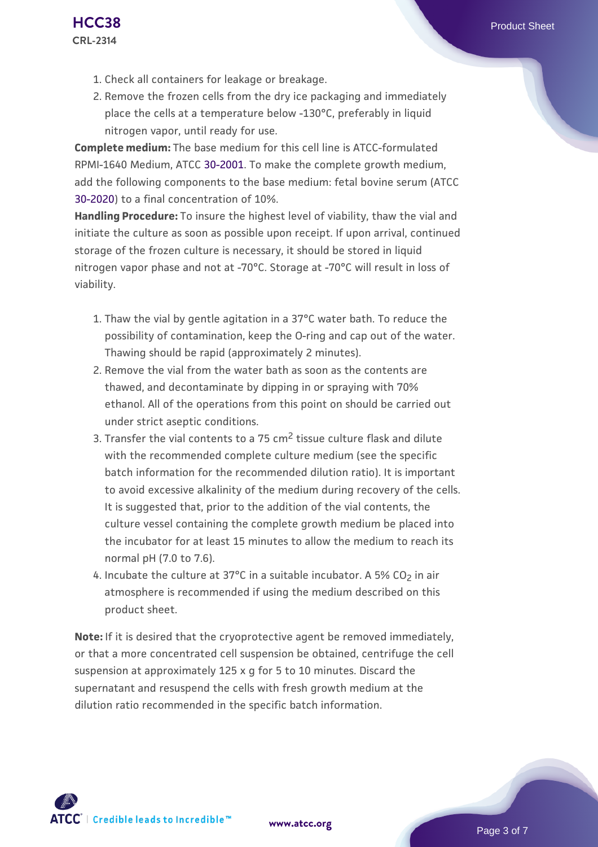- 1. Check all containers for leakage or breakage.
- 2. Remove the frozen cells from the dry ice packaging and immediately place the cells at a temperature below -130°C, preferably in liquid nitrogen vapor, until ready for use.

**Complete medium:** The base medium for this cell line is ATCC-formulated RPMI-1640 Medium, ATCC [30-2001.](https://www.atcc.org/Products/All/30-2001.aspx) To make the complete growth medium, add the following components to the base medium: fetal bovine serum (ATCC [30-2020\)](https://www.atcc.org/Products/All/30-2020.aspx) to a final concentration of 10%.

**Handling Procedure:** To insure the highest level of viability, thaw the vial and initiate the culture as soon as possible upon receipt. If upon arrival, continued storage of the frozen culture is necessary, it should be stored in liquid nitrogen vapor phase and not at -70°C. Storage at -70°C will result in loss of viability.

- 1. Thaw the vial by gentle agitation in a 37°C water bath. To reduce the possibility of contamination, keep the O-ring and cap out of the water. Thawing should be rapid (approximately 2 minutes).
- 2. Remove the vial from the water bath as soon as the contents are thawed, and decontaminate by dipping in or spraying with 70% ethanol. All of the operations from this point on should be carried out under strict aseptic conditions.
- 3. Transfer the vial contents to a 75 cm<sup>2</sup> tissue culture flask and dilute with the recommended complete culture medium (see the specific batch information for the recommended dilution ratio). It is important to avoid excessive alkalinity of the medium during recovery of the cells. It is suggested that, prior to the addition of the vial contents, the culture vessel containing the complete growth medium be placed into the incubator for at least 15 minutes to allow the medium to reach its normal pH (7.0 to 7.6).
- 4. Incubate the culture at 37°C in a suitable incubator. A 5% CO<sub>2</sub> in air atmosphere is recommended if using the medium described on this product sheet.

**Note:** If it is desired that the cryoprotective agent be removed immediately, or that a more concentrated cell suspension be obtained, centrifuge the cell suspension at approximately 125 x g for 5 to 10 minutes. Discard the supernatant and resuspend the cells with fresh growth medium at the dilution ratio recommended in the specific batch information.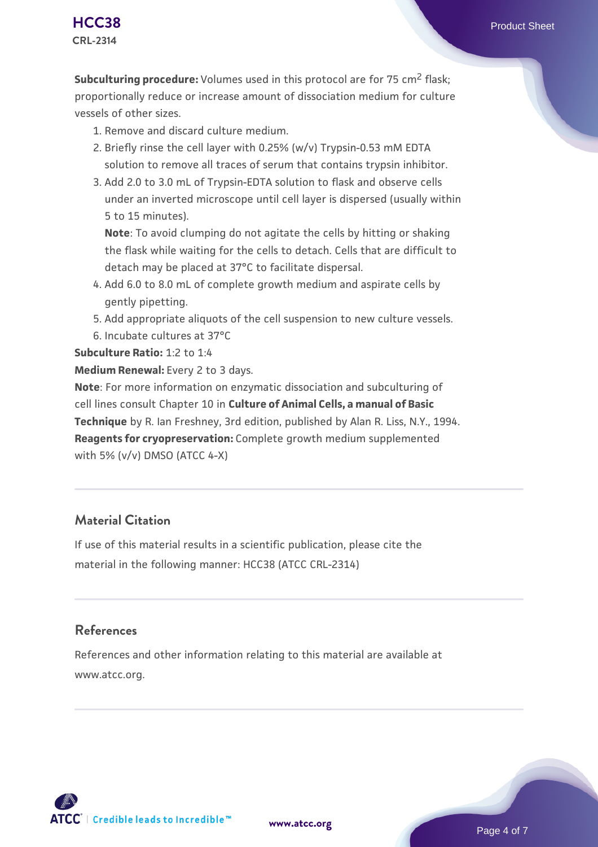- 1. Remove and discard culture medium.
- 2. Briefly rinse the cell layer with 0.25% (w/v) Trypsin-0.53 mM EDTA solution to remove all traces of serum that contains trypsin inhibitor.
- 3. Add 2.0 to 3.0 mL of Trypsin-EDTA solution to flask and observe cells under an inverted microscope until cell layer is dispersed (usually within 5 to 15 minutes).

**Note**: To avoid clumping do not agitate the cells by hitting or shaking the flask while waiting for the cells to detach. Cells that are difficult to detach may be placed at 37°C to facilitate dispersal.

- Add 6.0 to 8.0 mL of complete growth medium and aspirate cells by 4. gently pipetting.
- 5. Add appropriate aliquots of the cell suspension to new culture vessels.
- 6. Incubate cultures at 37°C

#### **Subculture Ratio:** 1:2 to 1:4

#### **Medium Renewal:** Every 2 to 3 days.

**Note**: For more information on enzymatic dissociation and subculturing of cell lines consult Chapter 10 in **Culture of Animal Cells, a manual of Basic Technique** by R. Ian Freshney, 3rd edition, published by Alan R. Liss, N.Y., 1994. **Reagents for cryopreservation:** Complete growth medium supplemented with 5% (v/v) DMSO (ATCC 4-X)

## **Material Citation**

If use of this material results in a scientific publication, please cite the material in the following manner: HCC38 (ATCC CRL-2314)

## **References**

References and other information relating to this material are available at www.atcc.org.

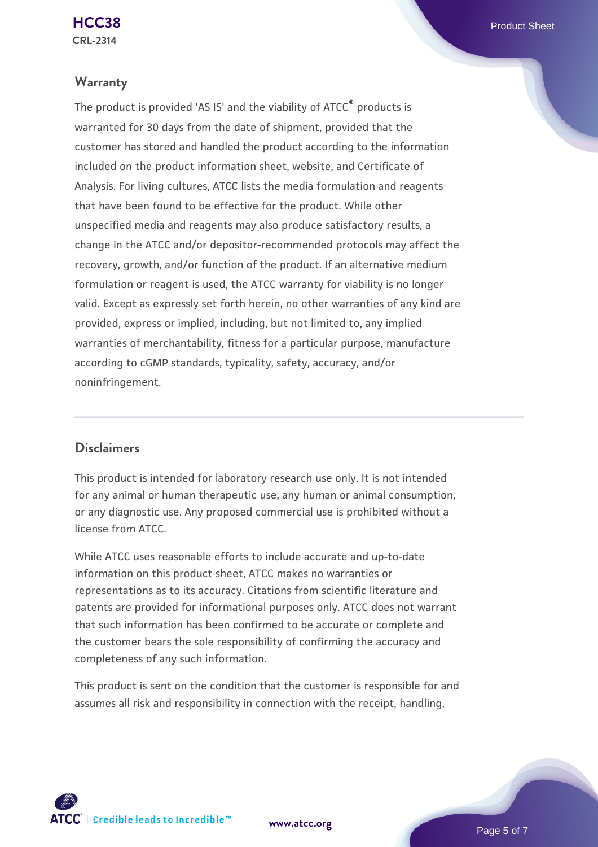## **Warranty**

The product is provided 'AS IS' and the viability of ATCC® products is warranted for 30 days from the date of shipment, provided that the customer has stored and handled the product according to the information included on the product information sheet, website, and Certificate of Analysis. For living cultures, ATCC lists the media formulation and reagents that have been found to be effective for the product. While other unspecified media and reagents may also produce satisfactory results, a change in the ATCC and/or depositor-recommended protocols may affect the recovery, growth, and/or function of the product. If an alternative medium formulation or reagent is used, the ATCC warranty for viability is no longer valid. Except as expressly set forth herein, no other warranties of any kind are provided, express or implied, including, but not limited to, any implied warranties of merchantability, fitness for a particular purpose, manufacture according to cGMP standards, typicality, safety, accuracy, and/or noninfringement.

## **Disclaimers**

This product is intended for laboratory research use only. It is not intended for any animal or human therapeutic use, any human or animal consumption, or any diagnostic use. Any proposed commercial use is prohibited without a license from ATCC.

While ATCC uses reasonable efforts to include accurate and up-to-date information on this product sheet, ATCC makes no warranties or representations as to its accuracy. Citations from scientific literature and patents are provided for informational purposes only. ATCC does not warrant that such information has been confirmed to be accurate or complete and the customer bears the sole responsibility of confirming the accuracy and completeness of any such information.

This product is sent on the condition that the customer is responsible for and assumes all risk and responsibility in connection with the receipt, handling,

**[www.atcc.org](http://www.atcc.org)**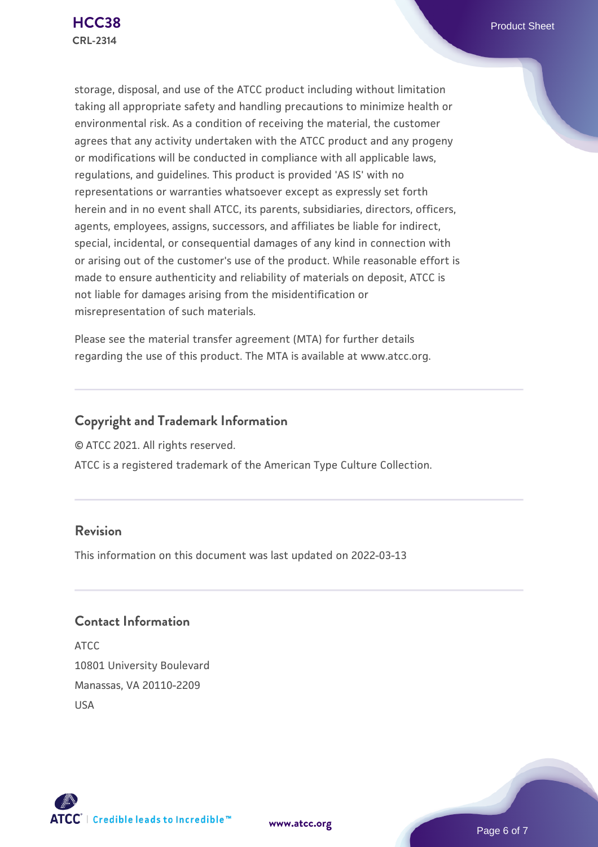storage, disposal, and use of the ATCC product including without limitation taking all appropriate safety and handling precautions to minimize health or environmental risk. As a condition of receiving the material, the customer agrees that any activity undertaken with the ATCC product and any progeny or modifications will be conducted in compliance with all applicable laws, regulations, and guidelines. This product is provided 'AS IS' with no representations or warranties whatsoever except as expressly set forth herein and in no event shall ATCC, its parents, subsidiaries, directors, officers, agents, employees, assigns, successors, and affiliates be liable for indirect, special, incidental, or consequential damages of any kind in connection with or arising out of the customer's use of the product. While reasonable effort is made to ensure authenticity and reliability of materials on deposit, ATCC is not liable for damages arising from the misidentification or misrepresentation of such materials.

Please see the material transfer agreement (MTA) for further details regarding the use of this product. The MTA is available at www.atcc.org.

## **Copyright and Trademark Information**

© ATCC 2021. All rights reserved.

ATCC is a registered trademark of the American Type Culture Collection.

## **Revision**

This information on this document was last updated on 2022-03-13

## **Contact Information**

ATCC 10801 University Boulevard Manassas, VA 20110-2209 USA